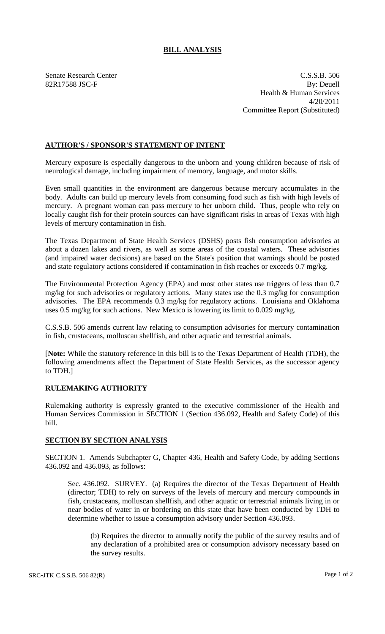## **BILL ANALYSIS**

Senate Research Center C.S.S.B. 506 82R17588 JSC-F By: Deuell Health & Human Services 4/20/2011 Committee Report (Substituted)

## **AUTHOR'S / SPONSOR'S STATEMENT OF INTENT**

Mercury exposure is especially dangerous to the unborn and young children because of risk of neurological damage, including impairment of memory, language, and motor skills.

Even small quantities in the environment are dangerous because mercury accumulates in the body. Adults can build up mercury levels from consuming food such as fish with high levels of mercury. A pregnant woman can pass mercury to her unborn child. Thus, people who rely on locally caught fish for their protein sources can have significant risks in areas of Texas with high levels of mercury contamination in fish.

The Texas Department of State Health Services (DSHS) posts fish consumption advisories at about a dozen lakes and rivers, as well as some areas of the coastal waters. These advisories (and impaired water decisions) are based on the State's position that warnings should be posted and state regulatory actions considered if contamination in fish reaches or exceeds 0.7 mg/kg.

The Environmental Protection Agency (EPA) and most other states use triggers of less than 0.7 mg/kg for such advisories or regulatory actions. Many states use the 0.3 mg/kg for consumption advisories. The EPA recommends 0.3 mg/kg for regulatory actions. Louisiana and Oklahoma uses 0.5 mg/kg for such actions. New Mexico is lowering its limit to 0.029 mg/kg.

C.S.S.B. 506 amends current law relating to consumption advisories for mercury contamination in fish, crustaceans, molluscan shellfish, and other aquatic and terrestrial animals.

[**Note:** While the statutory reference in this bill is to the Texas Department of Health (TDH), the following amendments affect the Department of State Health Services, as the successor agency to TDH.]

## **RULEMAKING AUTHORITY**

Rulemaking authority is expressly granted to the executive commissioner of the Health and Human Services Commission in SECTION 1 (Section 436.092, Health and Safety Code) of this bill.

## **SECTION BY SECTION ANALYSIS**

SECTION 1. Amends Subchapter G, Chapter 436, Health and Safety Code, by adding Sections 436.092 and 436.093, as follows:

Sec. 436.092. SURVEY. (a) Requires the director of the Texas Department of Health (director; TDH) to rely on surveys of the levels of mercury and mercury compounds in fish, crustaceans, molluscan shellfish, and other aquatic or terrestrial animals living in or near bodies of water in or bordering on this state that have been conducted by TDH to determine whether to issue a consumption advisory under Section 436.093.

(b) Requires the director to annually notify the public of the survey results and of any declaration of a prohibited area or consumption advisory necessary based on the survey results.